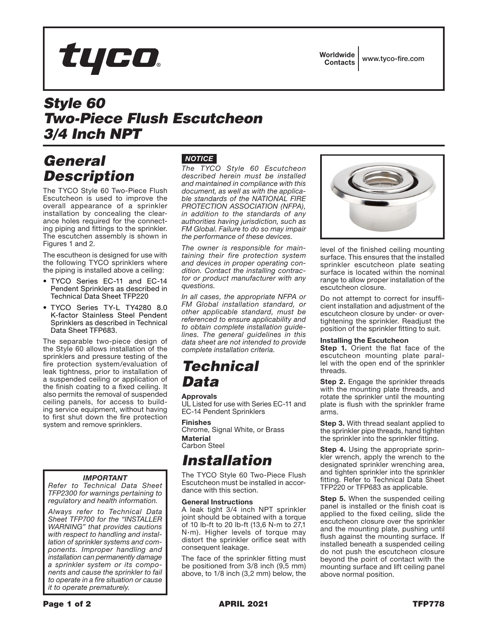

Worldwide Contacts www.tyco-fire.com

## *Style 60 Two-Piece Flush Escutcheon 3/4 Inch NPT*

### *General Description*

The TYCO Style 60 Two-Piece Flush Escutcheon is used to improve the overall appearance of a sprinkler installation by concealing the clearance holes required for the connecting piping and fittings to the sprinkler. The escutchen assembly is shown in Figures 1 and 2.

The escutheon is designed for use with the following TYCO sprinklers where the piping is installed above a ceiling:

- TYCO Series EC-11 and EC-14 Pendent Sprinklers as described in Technical Data Sheet TFP220
- TYCO Series TY-L TY4280 8.0 K-factor Stainless Steel Pendent Sprinklers as described in Technical Data Sheet TFP683.

The separable two-piece design of the Style 60 allows installation of the sprinklers and pressure testing of the fire protection system/evaluation of leak tightness, prior to installation of a suspended ceiling or application of the finish coating to a fixed ceiling. It also permits the removal of suspended ceiling panels, for access to building service equipment, without having to first shut down the fire protection system and remove sprinklers.

#### *IMPORTANT*

*Refer to Technical Data Sheet TFP2300 for warnings pertaining to regulatory and health information.*

*Always refer to Technical Data Sheet TFP700 for the "INSTALLER WARNING" that provides cautions with respect to handling and installation of sprinkler systems and components. Improper handling and installation can permanently damage a sprinkler system or its components and cause the sprinkler to fail to operate in a fire situation or cause it to operate prematurely.*

### *NOTICE*

*The TYCO Style 60 Escutcheon described herein must be installed and maintained in compliance with this document, as well as with the applicable standards of the NATIONAL FIRE PROTECTION ASSOCIATION (NFPA), in addition to the standards of any authorities having jurisdiction, such as FM Global. Failure to do so may impair the performance of these devices.*

*The owner is responsible for maintaining their fire protection system and devices in proper operating condition. Contact the installing contractor or product manufacturer with any questions.*

*In all cases, the appropriate NFPA or FM Global installation standard, or other applicable standard, must be referenced to ensure applicability and to obtain complete installation guidelines. The general guidelines in this data sheet are not intended to provide complete installation criteria.*

### *Technical Data*

#### **Approvals**

UL Listed for use with Series EC-11 and EC-14 Pendent Sprinklers

#### Finishes

Chrome, Signal White, or Brass Material Carbon Steel

## *Installation*

The TYCO Style 60 Two-Piece Flush Escutcheon must be installed in accordance with this section.

#### General Instructions

A leak tight 3/4 inch NPT sprinkler joint should be obtained with a torque of 10 lb-ft to 20 lb-ft (13,6 N·m to 27,1  $N \cdot m$ ). Higher levels of torque may distort the sprinkler orifice seat with consequent leakage.

The face of the sprinkler fitting must be positioned from 3/8 inch (9,5 mm) above, to 1/8 inch (3,2 mm) below, the



level of the finished ceiling mounting surface. This ensures that the installed sprinkler escutcheon plate seating surface is located within the nominal range to allow proper installation of the escutcheon closure.

Do not attempt to correct for insufficient installation and adjustment of the escutcheon closure by under- or overtightening the sprinkler. Readjust the position of the sprinkler fitting to suit.

#### Installing the Escutcheon

**Step 1.** Orient the flat face of the escutcheon mounting plate parallel with the open end of the sprinkler threads.

**Step 2.** Engage the sprinkler threads with the mounting plate threads, and rotate the sprinkler until the mounting plate is flush with the sprinkler frame arms.

**Step 3.** With thread sealant applied to the sprinkler pipe threads, hand tighten the sprinkler into the sprinkler fitting.

**Step 4.** Using the appropriate sprinkler wrench, apply the wrench to the designated sprinkler wrenching area, and tighten sprinkler into the sprinkler fitting. Refer to Technical Data Sheet TFP220 or TFP683 as applicable.

**Step 5.** When the suspended ceiling panel is installed or the finish coat is applied to the fixed ceiling, slide the escutcheon closure over the sprinkler and the mounting plate, pushing until flush against the mounting surface. If installed beneath a suspended ceiling do not push the escutcheon closure beyond the point of contact with the mounting surface and lift ceiling panel above normal position.